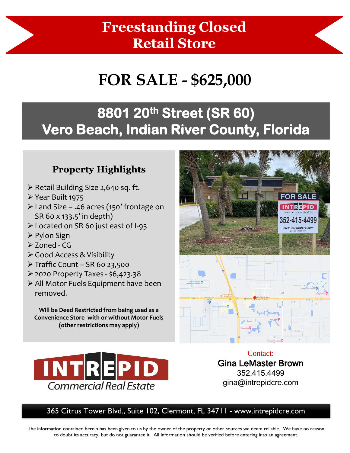## **Freestanding Closed Retail Store**

# **FOR SALE - \$625,000**

## **8801 20th Street (SR 60) Vero Beach, Indian River County, Florida**

#### **Property Highlights**

- ➢ Retail Building Size 2,640 sq. ft.
- ➢ Year Built 1975
- ➢ Land Size .46 acres (150' frontage on SR 60 x 133.5' in depth)
- ➢ Located on SR 60 just east of I-95
- ➢ Pylon Sign
- ➢ Zoned CG
- ➢ Good Access & Visibility
- ➢ Traffic Count SR 60 23,500
- ➢ 2020 Property Taxes \$6,423.38
- ➢ All Motor Fuels Equipment have been removed.

**Will be Deed Restricted from being used as a Convenience Store with or without Motor Fuels (other restrictions may apply)** 



Contact: Gina LeMaster Brown 352.415.4499 gina@intrepidcre.com

365 Citrus Tower Blvd., Suite 102, Clermont, FL 34711 - www.intrepidcre.com

The information contained herein has been given to us by the owner of the property or other sources we deem reliable. We have no reason to doubt its accuracy, but do not guarantee it. All information should be verified before entering into an agreement.